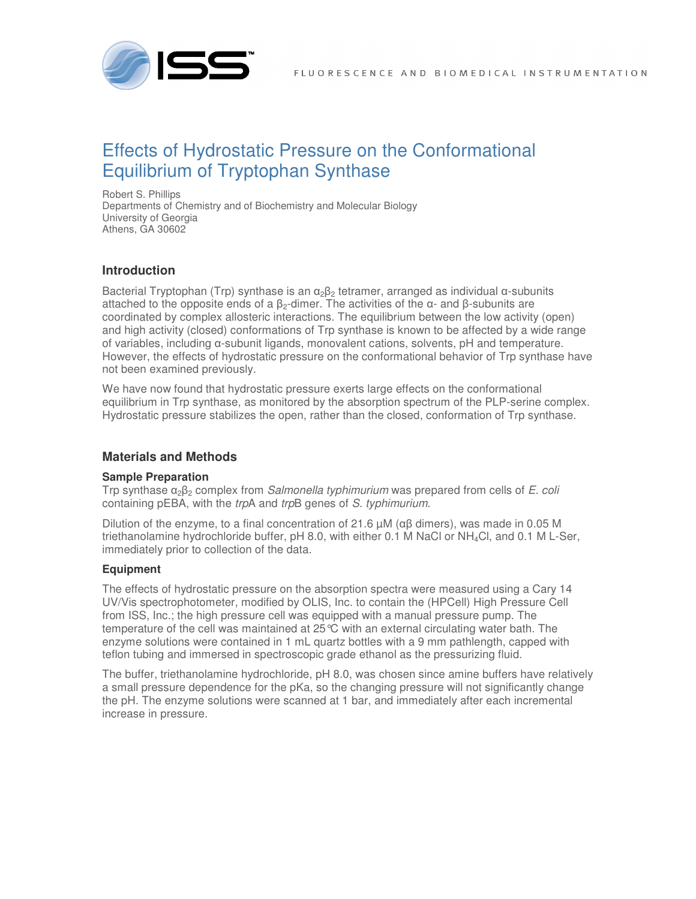

# Effects of Hydrostatic Pressure on the Conformational Equilibrium of Tryptophan Synthase

Robert S. Phillips Departments of Chemistry and of Biochemistry and Molecular Biology University of Georgia Athens, GA 30602

## **Introduction**

Bacterial Tryptophan (Trp) synthase is an  $\alpha_2\beta_2$  tetramer, arranged as individual  $\alpha$ -subunits attached to the opposite ends of a  $\beta_2$ -dimer. The activities of the  $\alpha$ - and  $\beta$ -subunits are coordinated by complex allosteric interactions. The equilibrium between the low activity (open) and high activity (closed) conformations of Trp synthase is known to be affected by a wide range of variables, including α-subunit ligands, monovalent cations, solvents, pH and temperature. However, the effects of hydrostatic pressure on the conformational behavior of Trp synthase have not been examined previously.

We have now found that hydrostatic pressure exerts large effects on the conformational equilibrium in Trp synthase, as monitored by the absorption spectrum of the PLP-serine complex. Hydrostatic pressure stabilizes the open, rather than the closed, conformation of Trp synthase.

### **Materials and Methods**

#### **Sample Preparation**

Trp synthase  $\alpha_2\beta_2$  complex from *Salmonella typhimurium* was prepared from cells of *E. coli* containing pEBA, with the trpA and trpB genes of S. typhimurium.

Dilution of the enzyme, to a final concentration of 21.6  $μM$  (αβ dimers), was made in 0.05 M triethanolamine hydrochloride buffer, pH 8.0, with either 0.1 M NaCl or NH4Cl, and 0.1 M L-Ser, immediately prior to collection of the data.

#### **Equipment**

The effects of hydrostatic pressure on the absorption spectra were measured using a Cary 14 UV/Vis spectrophotometer, modified by OLIS, Inc. to contain the (HPCell) High Pressure Cell from ISS, Inc.; the high pressure cell was equipped with a manual pressure pump. The temperature of the cell was maintained at  $25^{\circ}$ C with an external circulating water bath. The enzyme solutions were contained in 1 mL quartz bottles with a 9 mm pathlength, capped with teflon tubing and immersed in spectroscopic grade ethanol as the pressurizing fluid.

The buffer, triethanolamine hydrochloride, pH 8.0, was chosen since amine buffers have relatively a small pressure dependence for the pKa, so the changing pressure will not significantly change the pH. The enzyme solutions were scanned at 1 bar, and immediately after each incremental increase in pressure.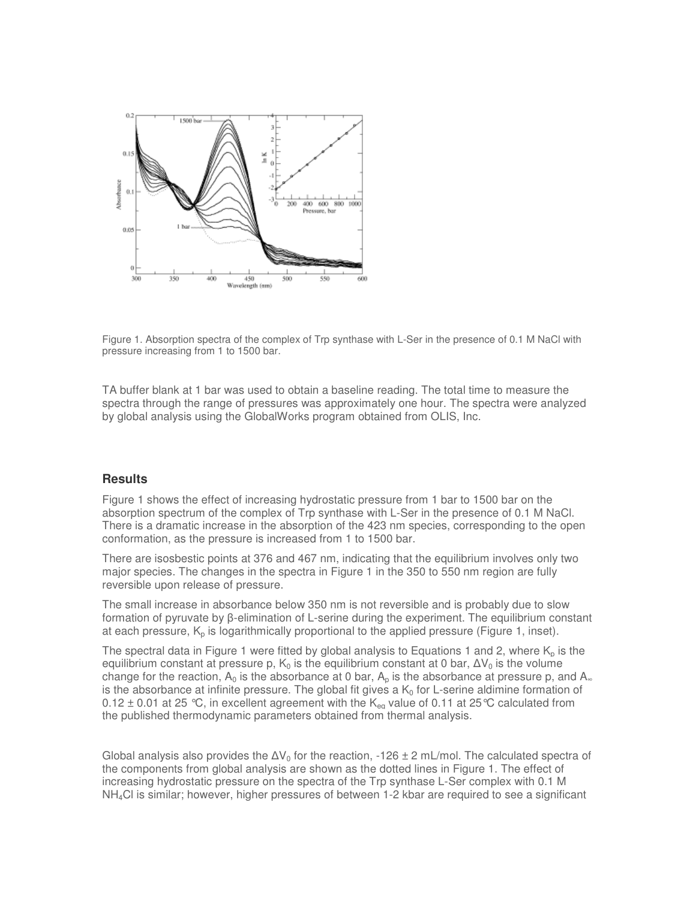

Figure 1. Absorption spectra of the complex of Trp synthase with L-Ser in the presence of 0.1 M NaCl with pressure increasing from 1 to 1500 bar.

TA buffer blank at 1 bar was used to obtain a baseline reading. The total time to measure the spectra through the range of pressures was approximately one hour. The spectra were analyzed by global analysis using the GlobalWorks program obtained from OLIS, Inc.

#### **Results**

Figure 1 shows the effect of increasing hydrostatic pressure from 1 bar to 1500 bar on the absorption spectrum of the complex of Trp synthase with L-Ser in the presence of 0.1 M NaCl. There is a dramatic increase in the absorption of the 423 nm species, corresponding to the open conformation, as the pressure is increased from 1 to 1500 bar.

There are isosbestic points at 376 and 467 nm, indicating that the equilibrium involves only two major species. The changes in the spectra in Figure 1 in the 350 to 550 nm region are fully reversible upon release of pressure.

The small increase in absorbance below 350 nm is not reversible and is probably due to slow formation of pyruvate by β-elimination of L-serine during the experiment. The equilibrium constant at each pressure,  $K_p$  is logarithmically proportional to the applied pressure (Figure 1, inset).

The spectral data in Figure 1 were fitted by global analysis to Equations 1 and 2, where  $K_p$  is the equilibrium constant at pressure p,  $K_0$  is the equilibrium constant at 0 bar,  $\Delta V_0$  is the volume change for the reaction,  $A_0$  is the absorbance at 0 bar,  $A_p$  is the absorbance at pressure p, and  $A_\infty$ is the absorbance at infinite pressure. The global fit gives a  $K_0$  for L-serine aldimine formation of 0.12  $\pm$  0.01 at 25 °C, in excellent agreement with the K<sub>eq</sub> value of 0.11 at 25 °C calculated from the published thermodynamic parameters obtained from thermal analysis.

Global analysis also provides the  $\Delta V_0$  for the reaction, -126 ± 2 mL/mol. The calculated spectra of the components from global analysis are shown as the dotted lines in Figure 1. The effect of increasing hydrostatic pressure on the spectra of the Trp synthase L-Ser complex with 0.1 M  $NH<sub>4</sub>Cl$  is similar; however, higher pressures of between 1-2 kbar are required to see a significant